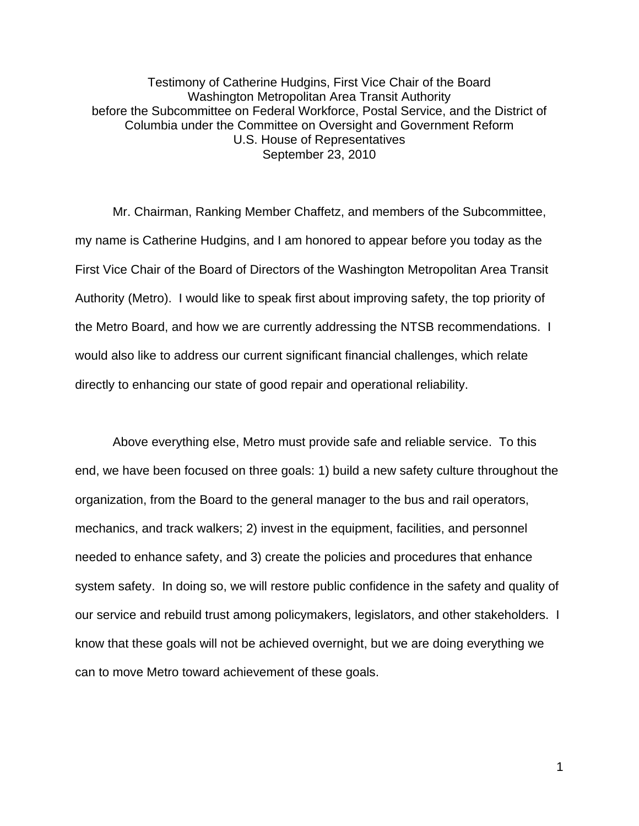Testimony of Catherine Hudgins, First Vice Chair of the Board Washington Metropolitan Area Transit Authority before the Subcommittee on Federal Workforce, Postal Service, and the District of Columbia under the Committee on Oversight and Government Reform U.S. House of Representatives September 23, 2010

Mr. Chairman, Ranking Member Chaffetz, and members of the Subcommittee, my name is Catherine Hudgins, and I am honored to appear before you today as the First Vice Chair of the Board of Directors of the Washington Metropolitan Area Transit Authority (Metro). I would like to speak first about improving safety, the top priority of the Metro Board, and how we are currently addressing the NTSB recommendations. I would also like to address our current significant financial challenges, which relate directly to enhancing our state of good repair and operational reliability.

Above everything else, Metro must provide safe and reliable service. To this end, we have been focused on three goals: 1) build a new safety culture throughout the organization, from the Board to the general manager to the bus and rail operators, mechanics, and track walkers; 2) invest in the equipment, facilities, and personnel needed to enhance safety, and 3) create the policies and procedures that enhance system safety. In doing so, we will restore public confidence in the safety and quality of our service and rebuild trust among policymakers, legislators, and other stakeholders. I know that these goals will not be achieved overnight, but we are doing everything we can to move Metro toward achievement of these goals.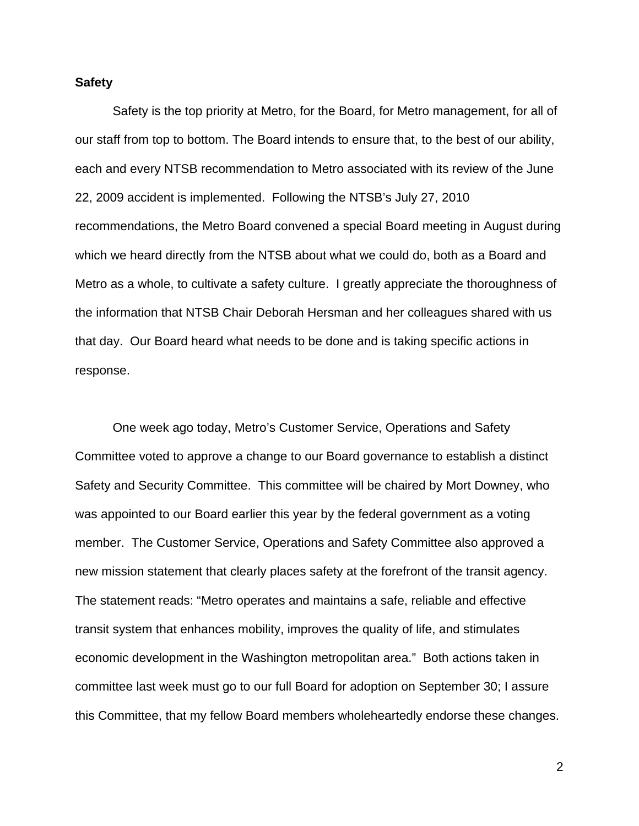## **Safety**

 Safety is the top priority at Metro, for the Board, for Metro management, for all of our staff from top to bottom. The Board intends to ensure that, to the best of our ability, each and every NTSB recommendation to Metro associated with its review of the June 22, 2009 accident is implemented. Following the NTSB's July 27, 2010 recommendations, the Metro Board convened a special Board meeting in August during which we heard directly from the NTSB about what we could do, both as a Board and Metro as a whole, to cultivate a safety culture. I greatly appreciate the thoroughness of the information that NTSB Chair Deborah Hersman and her colleagues shared with us that day. Our Board heard what needs to be done and is taking specific actions in response.

One week ago today, Metro's Customer Service, Operations and Safety Committee voted to approve a change to our Board governance to establish a distinct Safety and Security Committee. This committee will be chaired by Mort Downey, who was appointed to our Board earlier this year by the federal government as a voting member. The Customer Service, Operations and Safety Committee also approved a new mission statement that clearly places safety at the forefront of the transit agency. The statement reads: "Metro operates and maintains a safe, reliable and effective transit system that enhances mobility, improves the quality of life, and stimulates economic development in the Washington metropolitan area." Both actions taken in committee last week must go to our full Board for adoption on September 30; I assure this Committee, that my fellow Board members wholeheartedly endorse these changes.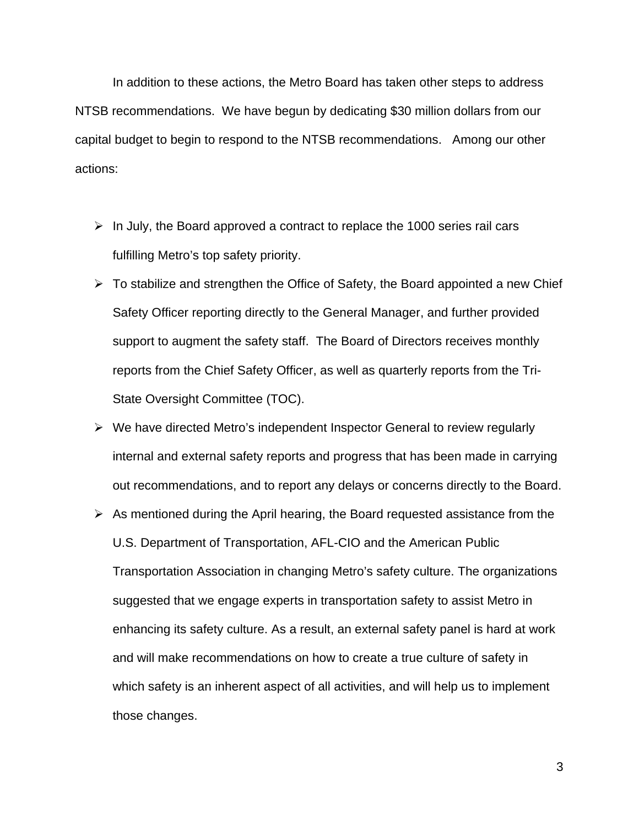In addition to these actions, the Metro Board has taken other steps to address NTSB recommendations. We have begun by dedicating \$30 million dollars from our capital budget to begin to respond to the NTSB recommendations. Among our other actions:

- $\triangleright$  In July, the Board approved a contract to replace the 1000 series rail cars fulfilling Metro's top safety priority.
- $\triangleright$  To stabilize and strengthen the Office of Safety, the Board appointed a new Chief Safety Officer reporting directly to the General Manager, and further provided support to augment the safety staff. The Board of Directors receives monthly reports from the Chief Safety Officer, as well as quarterly reports from the Tri-State Oversight Committee (TOC).
- $\triangleright$  We have directed Metro's independent Inspector General to review regularly internal and external safety reports and progress that has been made in carrying out recommendations, and to report any delays or concerns directly to the Board.
- $\triangleright$  As mentioned during the April hearing, the Board requested assistance from the U.S. Department of Transportation, AFL-CIO and the American Public Transportation Association in changing Metro's safety culture. The organizations suggested that we engage experts in transportation safety to assist Metro in enhancing its safety culture. As a result, an external safety panel is hard at work and will make recommendations on how to create a true culture of safety in which safety is an inherent aspect of all activities, and will help us to implement those changes.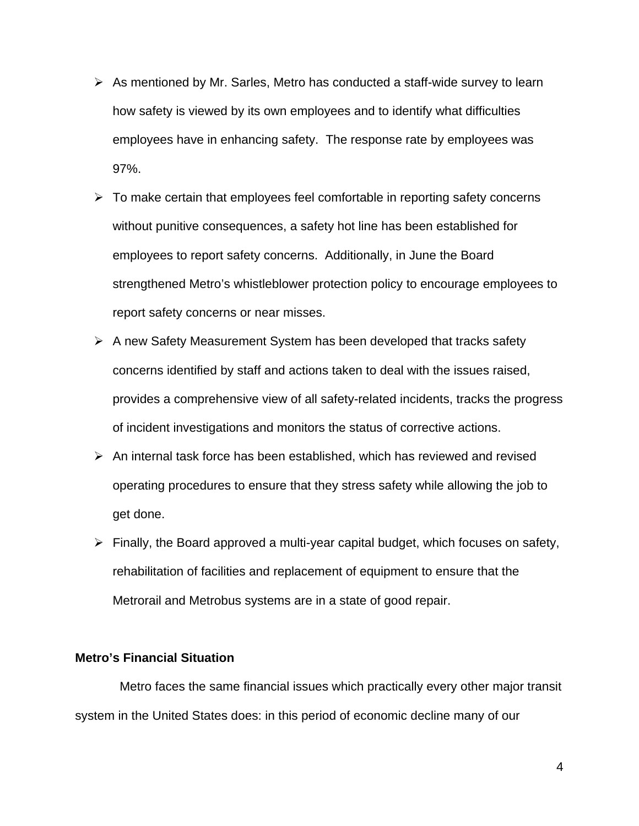- $\triangleright$  As mentioned by Mr. Sarles, Metro has conducted a staff-wide survey to learn how safety is viewed by its own employees and to identify what difficulties employees have in enhancing safety. The response rate by employees was 97%.
- $\triangleright$  To make certain that employees feel comfortable in reporting safety concerns without punitive consequences, a safety hot line has been established for employees to report safety concerns. Additionally, in June the Board strengthened Metro's whistleblower protection policy to encourage employees to report safety concerns or near misses.
- $\triangleright$  A new Safety Measurement System has been developed that tracks safety concerns identified by staff and actions taken to deal with the issues raised, provides a comprehensive view of all safety-related incidents, tracks the progress of incident investigations and monitors the status of corrective actions.
- $\triangleright$  An internal task force has been established, which has reviewed and revised operating procedures to ensure that they stress safety while allowing the job to get done.
- $\triangleright$  Finally, the Board approved a multi-year capital budget, which focuses on safety, rehabilitation of facilities and replacement of equipment to ensure that the Metrorail and Metrobus systems are in a state of good repair.

## **Metro's Financial Situation**

 Metro faces the same financial issues which practically every other major transit system in the United States does: in this period of economic decline many of our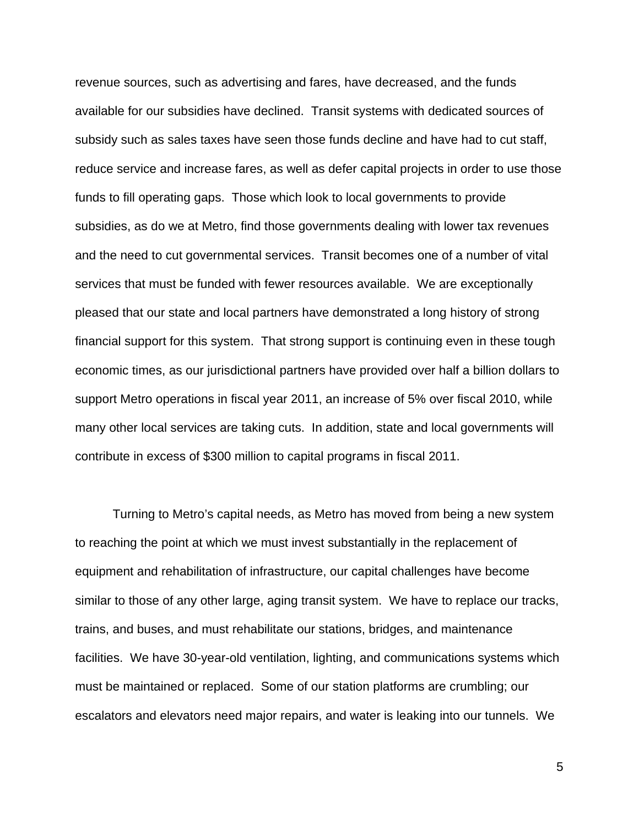revenue sources, such as advertising and fares, have decreased, and the funds available for our subsidies have declined. Transit systems with dedicated sources of subsidy such as sales taxes have seen those funds decline and have had to cut staff, reduce service and increase fares, as well as defer capital projects in order to use those funds to fill operating gaps. Those which look to local governments to provide subsidies, as do we at Metro, find those governments dealing with lower tax revenues and the need to cut governmental services. Transit becomes one of a number of vital services that must be funded with fewer resources available. We are exceptionally pleased that our state and local partners have demonstrated a long history of strong financial support for this system. That strong support is continuing even in these tough economic times, as our jurisdictional partners have provided over half a billion dollars to support Metro operations in fiscal year 2011, an increase of 5% over fiscal 2010, while many other local services are taking cuts. In addition, state and local governments will contribute in excess of \$300 million to capital programs in fiscal 2011.

 Turning to Metro's capital needs, as Metro has moved from being a new system to reaching the point at which we must invest substantially in the replacement of equipment and rehabilitation of infrastructure, our capital challenges have become similar to those of any other large, aging transit system. We have to replace our tracks, trains, and buses, and must rehabilitate our stations, bridges, and maintenance facilities. We have 30-year-old ventilation, lighting, and communications systems which must be maintained or replaced. Some of our station platforms are crumbling; our escalators and elevators need major repairs, and water is leaking into our tunnels. We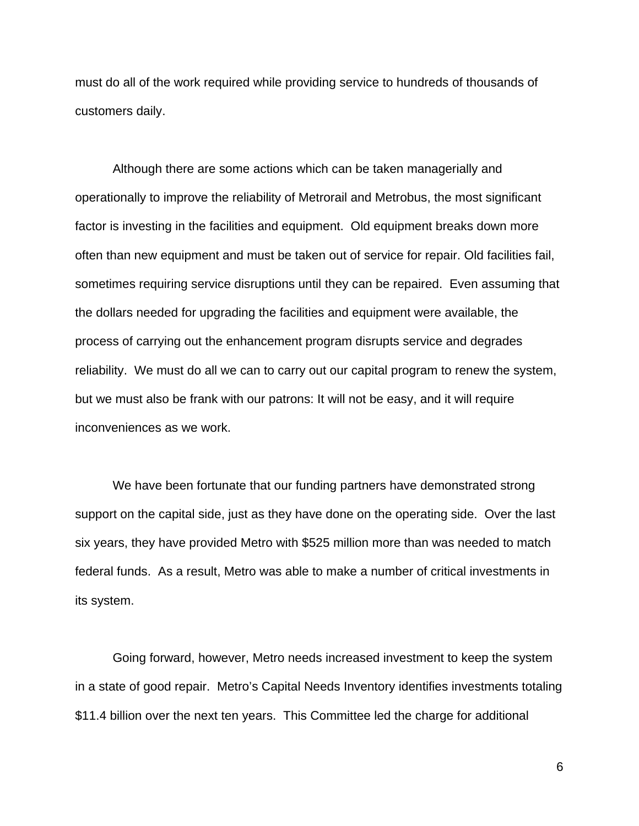must do all of the work required while providing service to hundreds of thousands of customers daily.

Although there are some actions which can be taken managerially and operationally to improve the reliability of Metrorail and Metrobus, the most significant factor is investing in the facilities and equipment. Old equipment breaks down more often than new equipment and must be taken out of service for repair. Old facilities fail, sometimes requiring service disruptions until they can be repaired. Even assuming that the dollars needed for upgrading the facilities and equipment were available, the process of carrying out the enhancement program disrupts service and degrades reliability. We must do all we can to carry out our capital program to renew the system, but we must also be frank with our patrons: It will not be easy, and it will require inconveniences as we work.

 We have been fortunate that our funding partners have demonstrated strong support on the capital side, just as they have done on the operating side. Over the last six years, they have provided Metro with \$525 million more than was needed to match federal funds. As a result, Metro was able to make a number of critical investments in its system.

Going forward, however, Metro needs increased investment to keep the system in a state of good repair. Metro's Capital Needs Inventory identifies investments totaling \$11.4 billion over the next ten years. This Committee led the charge for additional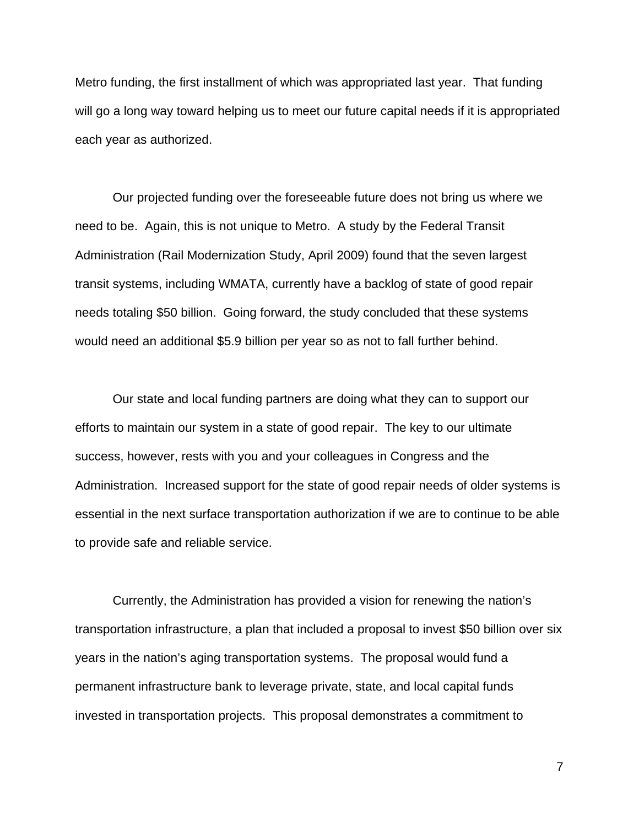Metro funding, the first installment of which was appropriated last year. That funding will go a long way toward helping us to meet our future capital needs if it is appropriated each year as authorized.

Our projected funding over the foreseeable future does not bring us where we need to be. Again, this is not unique to Metro. A study by the Federal Transit Administration (Rail Modernization Study, April 2009) found that the seven largest transit systems, including WMATA, currently have a backlog of state of good repair needs totaling \$50 billion. Going forward, the study concluded that these systems would need an additional \$5.9 billion per year so as not to fall further behind.

 Our state and local funding partners are doing what they can to support our efforts to maintain our system in a state of good repair. The key to our ultimate success, however, rests with you and your colleagues in Congress and the Administration. Increased support for the state of good repair needs of older systems is essential in the next surface transportation authorization if we are to continue to be able to provide safe and reliable service.

Currently, the Administration has provided a vision for renewing the nation's transportation infrastructure, a plan that included a proposal to invest \$50 billion over six years in the nation's aging transportation systems. The proposal would fund a permanent infrastructure bank to leverage private, state, and local capital funds invested in transportation projects. This proposal demonstrates a commitment to